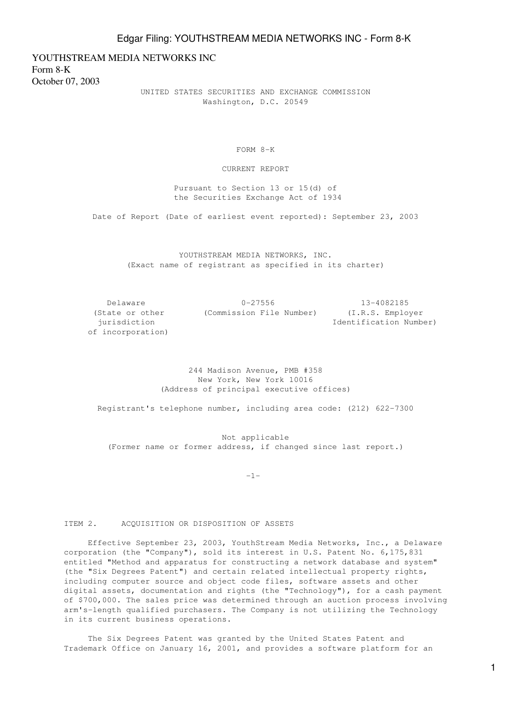YOUTHSTREAM MEDIA NETWORKS INC Form 8-K October 07, 2003

> UNITED STATES SECURITIES AND EXCHANGE COMMISSION Washington, D.C. 20549

> > FORM 8-K

CURRENT REPORT

 Pursuant to Section 13 or 15(d) of the Securities Exchange Act of 1934

Date of Report (Date of earliest event reported): September 23, 2003

 YOUTHSTREAM MEDIA NETWORKS, INC. (Exact name of registrant as specified in its charter)

 Delaware 0-27556 13-4082185 (State or other (Commission File Number) (I.R.S. Employer jurisdiction Identification Number) of incorporation)

> 244 Madison Avenue, PMB #358 New York, New York 10016 (Address of principal executive offices)

Registrant's telephone number, including area code: (212) 622-7300

 Not applicable (Former name or former address, if changed since last report.)

 $-1-$ 

## ITEM 2. ACQUISITION OR DISPOSITION OF ASSETS

 Effective September 23, 2003, YouthStream Media Networks, Inc., a Delaware corporation (the "Company"), sold its interest in U.S. Patent No. 6,175,831 entitled "Method and apparatus for constructing a network database and system" (the "Six Degrees Patent") and certain related intellectual property rights, including computer source and object code files, software assets and other digital assets, documentation and rights (the "Technology"), for a cash payment of \$700,000. The sales price was determined through an auction process involving arm's-length qualified purchasers. The Company is not utilizing the Technology in its current business operations.

 The Six Degrees Patent was granted by the United States Patent and Trademark Office on January 16, 2001, and provides a software platform for an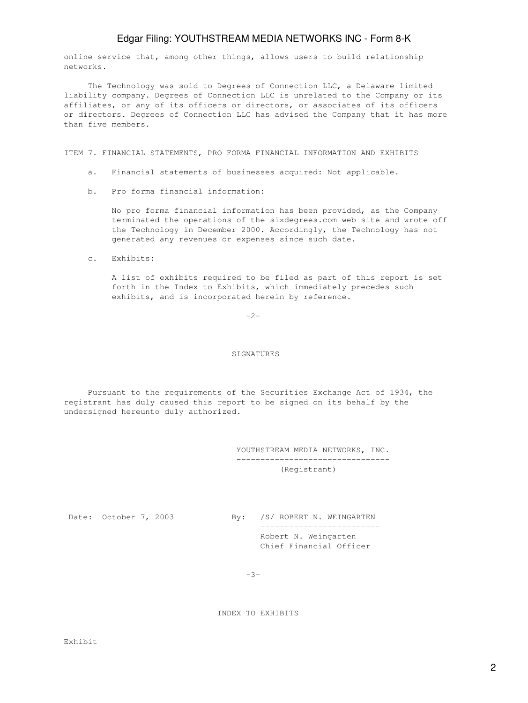## Edgar Filing: YOUTHSTREAM MEDIA NETWORKS INC - Form 8-K

online service that, among other things, allows users to build relationship networks.

 The Technology was sold to Degrees of Connection LLC, a Delaware limited liability company. Degrees of Connection LLC is unrelated to the Company or its affiliates, or any of its officers or directors, or associates of its officers or directors. Degrees of Connection LLC has advised the Company that it has more than five members.

ITEM 7. FINANCIAL STATEMENTS, PRO FORMA FINANCIAL INFORMATION AND EXHIBITS

- a. Financial statements of businesses acquired: Not applicable.
- b. Pro forma financial information:

 No pro forma financial information has been provided, as the Company terminated the operations of the sixdegrees.com web site and wrote off the Technology in December 2000. Accordingly, the Technology has not generated any revenues or expenses since such date.

c. Exhibits:

 A list of exhibits required to be filed as part of this report is set forth in the Index to Exhibits, which immediately precedes such exhibits, and is incorporated herein by reference.

 $-2-$ 

## SIGNATURES

 Pursuant to the requirements of the Securities Exchange Act of 1934, the registrant has duly caused this report to be signed on its behalf by the undersigned hereunto duly authorized.

> YOUTHSTREAM MEDIA NETWORKS, INC. -------------------------------- (Registrant)

Date: October 7, 2003 By: /S/ ROBERT N. WEINGARTEN ------------------------- Robert N. Weingarten Chief Financial Officer

-3-

INDEX TO EXHIBITS